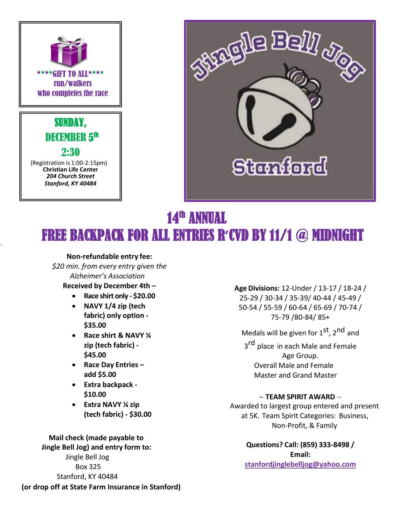



## $14$ th **ANNUAL** FREE BACKPACK FOR ALL ENTRIES R**'**CVD BY 11/1 @ MIDNIGHT

#### **Non-refundable entry fee:**

 *\$20 min. from every entry given the Alzheimer's Association*

### **Received by December 4th –**

- **Race shirt only - \$20.00**
- **NAVY 1/4 zip (tech fabric) only option - \$35.00**
- **Race shirt & NAVY ¼ zip (tech fabric) - \$45.00**
- **Race Day Entries – add \$5.00**
- **Extra backpack - \$10.00**
- **Extra NAVY ¼ zip (tech fabric) - \$30.00**

 **Mail check (made payable to Jingle Bell Jog) and entry form to:** Jingle Bell Jog Box 325 Stanford, KY 40484

 **(or drop off at State Farm Insurance in Stanford)**

## **[Age](http://www.stanfordjinglebelljog.com/) Divisions:** 12-Under / 13-17 / 18-24 /

25-29 / 30-34 / 35-39/ 40-44 / 45-49 / 50-54 / 55-59 / 60-64 / 65-69 / 70-74 / 75-79 /80-84/ 85+

Medals will be given for 1<sup>st</sup>, 2<sup>nd</sup> and

3<sup>rd</sup> place in each Male and Female Age Group. Overall Male and Female Master and Grand Master

#### **~ TEAM SPIRIT AWARD** ~

Awarded to largest group entered and present at 5K. Team Spirit Categories: Business, Non-Profit, & Family

> **Questions? Call: (859) 333-8498 / Email: [stanfordjinglebelljog@yahoo.com](mailto:stanfordjinglebelljog@yahoo.com)**